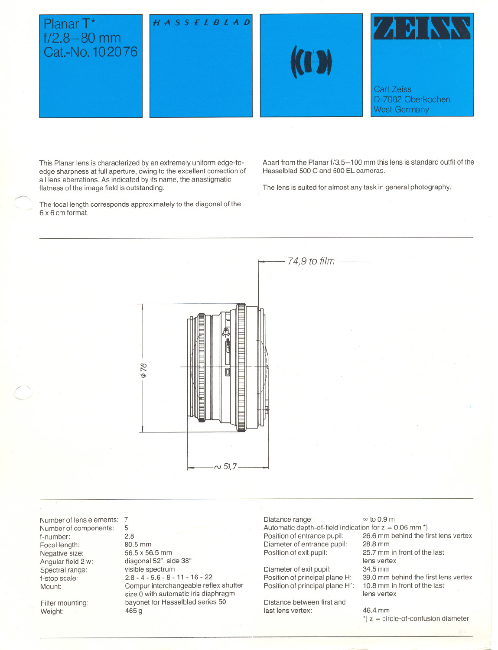# Planar T<sup>\*</sup>  $f/2.8 - 80$  mm Cat.-No. 102076

~

,r'-







This Planar lens is characterized by an extremely uniform edge-toedge sharpness at full aperture, owing to the excellent correction of all lens aberrations. As indicated by its name, the anastigmatic flatness of the image field is outstanding.

The focal length corresponds approximately to the diagonal of the 6 x 6 em format.

Apart from the Planar  $f/3.5-100$  mm this lens is standard outfit of the Hasselblad 500 C and 500 **EL** eameras.

The lens is suited for almost any task in general photography.

74,9 to film ~ \$ Ō  $\sim$  51,7-

Number of lens elements: 7 Number of eomponents: f-number: Focal length: Negative size: Angular field 2 w: Spectral range: f-stop seale: Mount:

Filter mounting: Weight:

5 2.8 80.5 mm 56.5 x 56.5 mm diagonal 52°, side 38° visible spectrum 2.8 - 4 - 5.6 - 8 - 11 - 16 - 22 Compur interehangeable reflex shutter size 0 with automatie iris diaphragm bayonet for Hasselblad series 50 465g

Diatance range:  $\infty$  to 0.9 m Automatic depth-of-field indication for  $z = 0.06$  mm  $*$ )<br>Position of entrance pupil: 26.6 mm behind the fi Diameter of entrance pupil:<br>Position of exit pupil:

Diameter of exit pupil: Position of principal plane H: Position of principal plane H':

Distanee between first and last lens vertex: 46.4 mm

26.6 mm behind the first lens vertex<br>28.8 mm 25.7 mm in front of the last lens vertex 34.5 mm 39.0 mm behind the first lens vertex 10.8 mm in front of the last lens vertex

 $*$ ) z = circle-of-confusion diameter